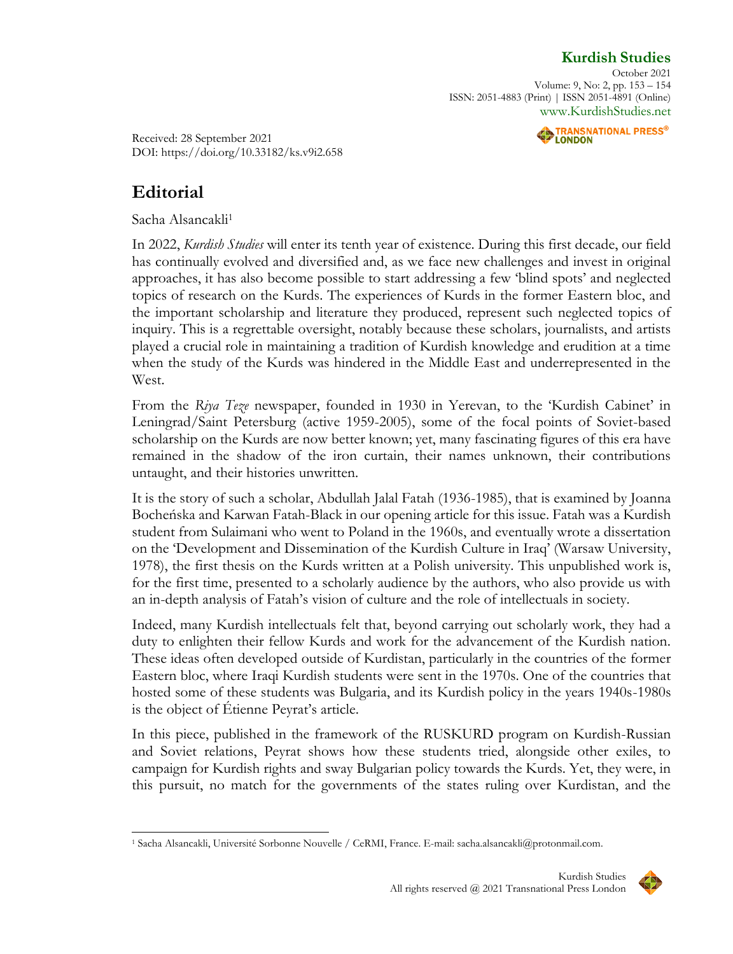## **[Kurdish](http://www.kurdishstudies.net/) Studies**

October 2021 Volume: 9, No: 2, pp. 153 – 154 ISSN: 2051-4883 (Print) | ISSN 2051-4891 (Online) [www.KurdishStudies.net](http://www.kurdishstudies.net/)



Received: 28 September 2021 DOI: https://doi.org/10.33182/ks.v9i2.658

## **Editorial**

Sacha Alsancakli 1

In 2022, *Kurdish Studies* will enter its tenth year of existence. During this first decade, our field has continually evolved and diversified and, as we face new challenges and invest in original approaches, it has also become possible to start addressing a few 'blind spots' and neglected topics of research on the Kurds. The experiences of Kurds in the former Eastern bloc, and the important scholarship and literature they produced, represent such neglected topics of inquiry. This is a regrettable oversight, notably because these scholars, journalists, and artists played a crucial role in maintaining a tradition of Kurdish knowledge and erudition at a time when the study of the Kurds was hindered in the Middle East and underrepresented in the West.

From the *Riya Teze* newspaper, founded in 1930 in Yerevan, to the 'Kurdish Cabinet' in Leningrad/Saint Petersburg (active 1959-2005), some of the focal points of Soviet-based scholarship on the Kurds are now better known; yet, many fascinating figures of this era have remained in the shadow of the iron curtain, their names unknown, their contributions untaught, and their histories unwritten.

It is the story of such a scholar, Abdullah Jalal Fatah (1936-1985), that is examined by Joanna Bocheńska and Karwan Fatah-Black in our opening article for this issue. Fatah was a Kurdish student from Sulaimani who went to Poland in the 1960s, and eventually wrote a dissertation on the 'Development and Dissemination of the Kurdish Culture in Iraq' (Warsaw University, 1978), the first thesis on the Kurds written at a Polish university. This unpublished work is, for the first time, presented to a scholarly audience by the authors, who also provide us with an in-depth analysis of Fatah's vision of culture and the role of intellectuals in society.

Indeed, many Kurdish intellectuals felt that, beyond carrying out scholarly work, they had a duty to enlighten their fellow Kurds and work for the advancement of the Kurdish nation. These ideas often developed outside of Kurdistan, particularly in the countries of the former Eastern bloc, where Iraqi Kurdish students were sent in the 1970s. One of the countries that hosted some of these students was Bulgaria, and its Kurdish policy in the years 1940s-1980s is the object of Étienne Peyrat's article.

In this piece, published in the framework of the RUSKURD program on Kurdish-Russian and Soviet relations, Peyrat shows how these students tried, alongside other exiles, to campaign for Kurdish rights and sway Bulgarian policy towards the Kurds. Yet, they were, in this pursuit, no match for the governments of the states ruling over Kurdistan, and the

<sup>1</sup> Sacha Alsancakli, Université Sorbonne Nouvelle / CeRMI, France. E-mail: sacha.alsancakli@protonmail.com.